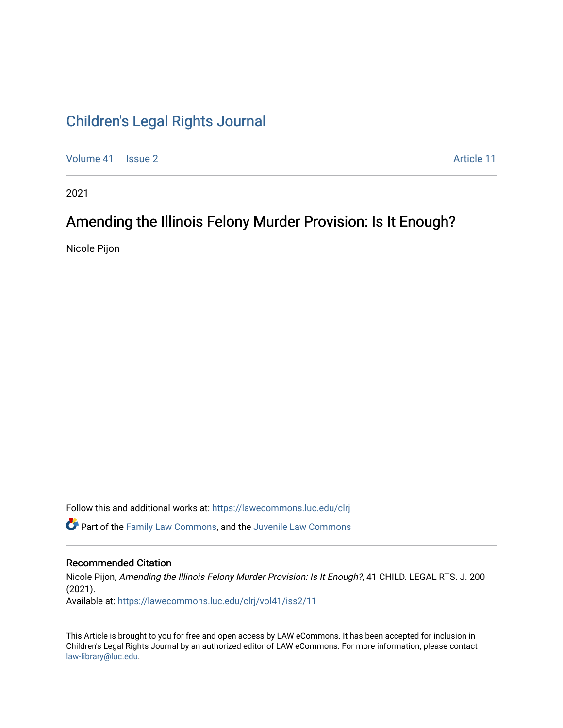# [Children's Legal Rights Journal](https://lawecommons.luc.edu/clrj)

[Volume 41](https://lawecommons.luc.edu/clrj/vol41) | [Issue 2](https://lawecommons.luc.edu/clrj/vol41/iss2) Article 11

2021

# Amending the Illinois Felony Murder Provision: Is It Enough?

Nicole Pijon

Follow this and additional works at: [https://lawecommons.luc.edu/clrj](https://lawecommons.luc.edu/clrj?utm_source=lawecommons.luc.edu%2Fclrj%2Fvol41%2Fiss2%2F11&utm_medium=PDF&utm_campaign=PDFCoverPages)

**C** Part of the [Family Law Commons,](http://network.bepress.com/hgg/discipline/602?utm_source=lawecommons.luc.edu%2Fclrj%2Fvol41%2Fiss2%2F11&utm_medium=PDF&utm_campaign=PDFCoverPages) and the Juvenile Law Commons

#### Recommended Citation

Nicole Pijon, Amending the Illinois Felony Murder Provision: Is It Enough?, 41 CHILD. LEGAL RTS. J. 200 (2021). Available at: [https://lawecommons.luc.edu/clrj/vol41/iss2/11](https://lawecommons.luc.edu/clrj/vol41/iss2/11?utm_source=lawecommons.luc.edu%2Fclrj%2Fvol41%2Fiss2%2F11&utm_medium=PDF&utm_campaign=PDFCoverPages) 

This Article is brought to you for free and open access by LAW eCommons. It has been accepted for inclusion in Children's Legal Rights Journal by an authorized editor of LAW eCommons. For more information, please contact [law-library@luc.edu](mailto:law-library@luc.edu).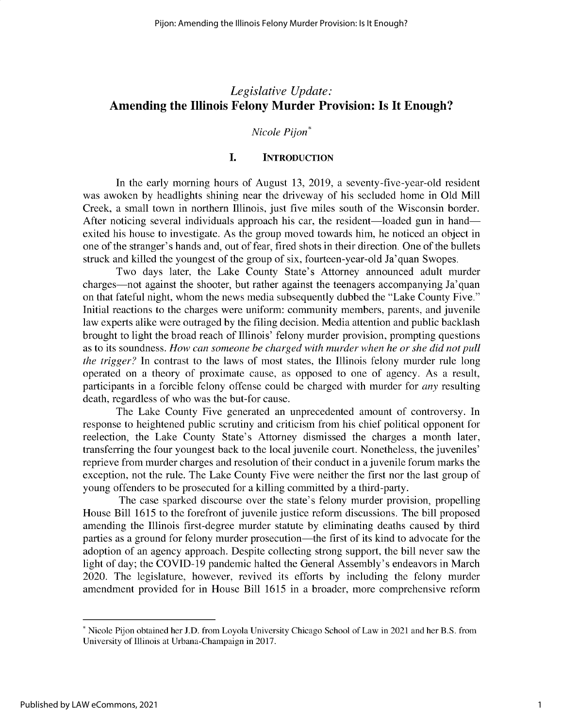# *Legislative Update:* **Amending the Illinois Felony Murder Provision: Is It Enough?**

#### *Nicole Pijon\**

### **I. INTRODUCTION**

In the early morning hours of August 13, 2019, a seventy-five-year-old resident was awoken by headlights shining near the driveway of his secluded home in Old Mill Creek, a small town in northern Illinois, just five miles south of the Wisconsin border. After noticing several individuals approach his car, the resident—loaded gun in hand exited his house to investigate. As the group moved towards him, he noticed an object in one of the stranger's hands and, out of fear, fired shots in their direction. One of the bullets struck and killed the youngest of the group of six, fourteen-year-old Ja'quan Swopes.

Two days later, the Lake County State's Attorney announced adult murder charges—not against the shooter, but rather against the teenagers accompanying Ja' quan on that fateful night, whom the news media subsequently dubbed the "Lake County Five." Initial reactions to the charges were uniform: community members, parents, and juvenile law experts alike were outraged by the filing decision. Media attention and public backlash brought to light the broad reach of Illinois' felony murder provision, prompting questions as to its soundness. *How can someone be charged with murder when he or she did not pull the trigger?* In contrast to the laws of most states, the Illinois felony murder rule long operated on a theory of proximate cause, as opposed to one of agency. As a result, participants in a forcible felony offense could be charged with murder for *any* resulting death, regardless of who was the but-for cause.

The Lake County Five generated an unprecedented amount of controversy. In response to heightened public scrutiny and criticism from his chief political opponent for reelection, the Lake County State's Attorney dismissed the charges a month later, transferring the four youngest back to the local juvenile court. Nonetheless, the juveniles' reprieve from murder charges and resolution of their conduct in a juvenile forum marks the exception, not the rule. The Lake County Five were neither the first nor the last group of young offenders to be prosecuted for a killing committed by a third-party.

The case sparked discourse over the state's felony murder provision, propelling House Bill 1615 to the forefront of juvenile justice reform discussions. The bill proposed amending the Illinois first-degree murder statute by eliminating deaths caused by third parties as a ground for felony murder prosecution—the first of its kind to advocate for the adoption of an agency approach. Despite collecting strong support, the bill never saw the light of day; the COVID-19 pandemic halted the General Assembly's endeavors in March 2020. The legislature, however, revived its efforts by including the felony murder amendment provided for in House Bill 1615 in a broader, more comprehensive reform

<sup>\*</sup> Nicole Pijon obtained her J.D. from Loyola University Chicago School of Law in 2021 and her B.S. from University of Illinois at Urbana-Champaign in 2017.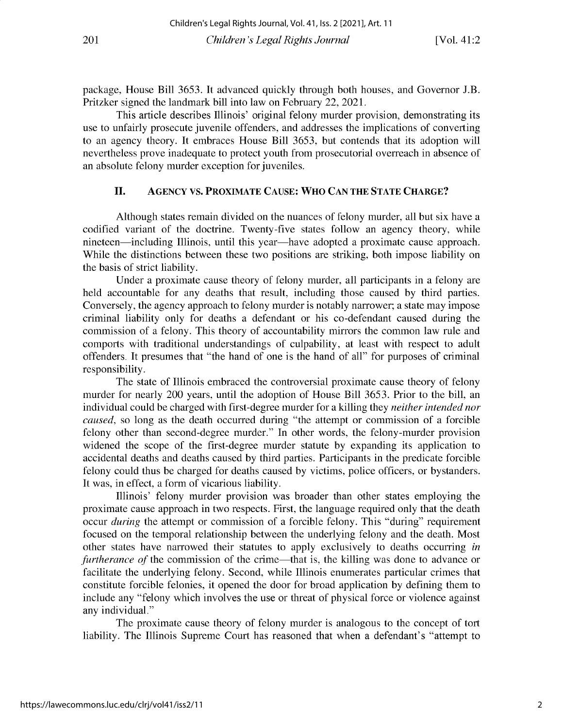**package, House Bill** *3653.* **It advanced quickly through both houses, and Governor J.B.** Pritzker signed the landmark bill into law on February 22, 2021.

**This article describes Illinois' original felony murder provision, demonstrating its use to unfairly prosecute juvenile offenders, and addresses the implications of converting to an agency theory. It embraces House Bill** *3653,* **but contends that its adoption will nevertheless prove inadequate to protect youth from prosecutorial overreach in absence of an absolute felony murder exception for juveniles.**

### **II. AGENCY VS. PROXIMATE CAUSE: WHO CAN THE STATE CHARGE?**

**Although states remain divided on the nuances of felony murder, all but six have a** codified variant of the doctrine. Twenty-five states follow an agency theory, while nineteen-including **Illinois, until this year-have adopted a proximate cause approach. While the distinctions between these two positions are striking, both impose liability on** the basis of strict liability.

Under a proximate cause theory of felony murder, all participants in a felony are **held accountable for any deaths that result, including those caused by third parties. Conversely, the agency approach to felony murder is notably narrower; a state may impose criminal liability only for deaths a defendant or his co-defendant caused during the commission of a felony. This theory of accountability mirrors the common law rule and** comports with traditional understandings of culpability, at least with respect to adult **offenders. It presumes that "the hand of one is the hand of all" for purposes of criminal** responsibility.

**The state of Illinois embraced the controversial proximate cause theory of felony** murder for nearly 200 years, until the adoption of House Bill *3653.* Prior to the bill, an individual could be charged with first-degree murder for a killing they *neither intended nor caused,* **so long as the death occurred during "the attempt or commission of a forcible felony other than second-degree murder." In other words, the felony-murder provision** widened the scope of the first-degree murder statute by expanding its application to **accidental deaths and deaths caused by third parties. Participants in the predicate forcible** felony could thus be charged for deaths caused by victims, police officers, or bystanders. It was, in effect, a form of vicarious liability.

**Illinois' felony murder provision was broader than other states employing the proximate cause approach in two respects. First, the language required only that the death occur** *during* **the attempt or commission of a forcible felony. This "during" requirement focused on the temporal relationship between the underlying felony and the death. Most other states have narrowed their statutes to apply exclusively to deaths occurring** *in furtherance of the commission of the crime—that is, the killing was done to advance or* **facilitate the underlying felony. Second, while Illinois enumerates particular crimes that constitute forcible felonies, it opened the door for broad application by defining them to** include any "felony which involves the use or threat of physical force or violence against **any individual."**

The proximate **cause** theory of felony murder **is analogous** to the concept of tort liability. The Illinois Supreme Court has reasoned that when a defendant's "attempt to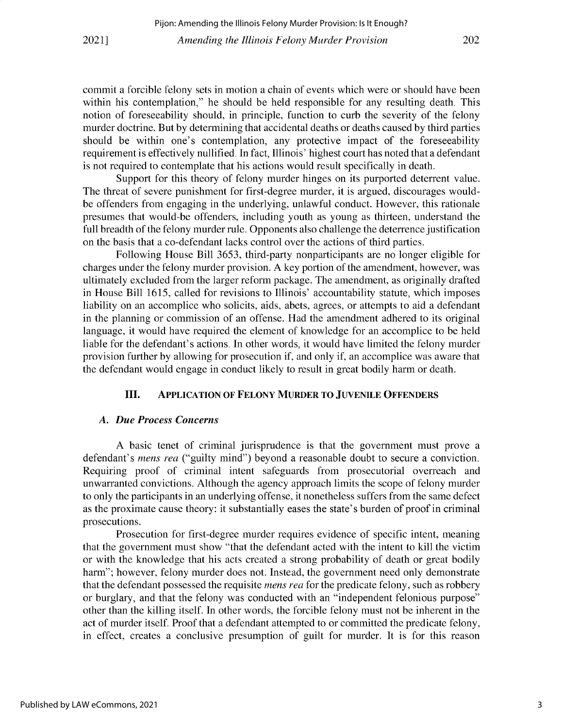**commit a forcible felony sets in motion a chain of events which were or should have been within his contemplation," he should be held responsible for any resulting death. This notion of foreseeability should, in principle, function to curb the severity of the felony murder doctrine. But by determining that accidental deaths or deaths caused by third parties should be within one's contemplation, any protective impact of the foreseeability requirement is effectively nullified. In fact, Illinois' highest court has noted that a defendant is not required to contemplate that his actions would result specifically in death.**

**Support for this theory of felony murder hinges on its purported deterrent value. The threat of severe punishment for first-degree murder, it is argued, discourages wouldbe offenders from engaging in the underlying, unlawful conduct. However, this rationale presumes that would-be offenders, including youth as young as thirteen, understand the full breadth of the felony murder rule. Opponents also challenge the deterrence justification** on the basis that a co-defendant lacks control over the actions of third parties.

**Following House Bill** *3653,* **third-party nonparticipants are no longer eligible for charges under the felony murder provision. A key portion of the amendment, however, was ultimately excluded from the larger reform package. The amendment, as originally drafted in House Bill 1615, called for revisions to Illinois' accountability statute, which imposes** liability on an accomplice who solicits, aids, abets, agrees, or attempts to aid a defendant **in the planning or commission of an offense. Had the amendment adhered to its original** language, it would have required the element of knowledge for an accomplice to be held **liable for the defendant's actions. In other words, it would have limited the felony murder provision further by allowing for prosecution if, and only if, an accomplice was aware that the defendant would engage in conduct likely to result in great bodily harm or death.**

#### **III. APPLICATION OF FELONY MURDER TO JUVENILE OFFENDERS**

#### *A. Due Process Concerns*

**A basic tenet of criminal jurisprudence is that the government must prove a defendant's** *mens rea* **("guilty mind") beyond a reasonable doubt to secure a conviction. Requiring proof of criminal intent safeguards from prosecutorial overreach and** unwarranted convictions. Although the agency approach limits the scope of felony murder **to only the participants in an underlying offense, it nonetheless suffers from the same defect as the proximate cause theory: it substantially eases the state's burden of proof in criminal prosecutions.**

**Prosecution for first-degree murder requires evidence of specific intent, meaning** that the government must show "that the defendant acted with the intent to kill the victim or with the knowledge that his acts created a strong probability of death or great bodily **harm"; however, felony murder does not. Instead, the government need only demonstrate** that the defendant possessed the requisite *mens rea* for the predicate felony, such as robbery **or burglary, and that the felony was conducted with an "independent felonious purpose"** other than the killing itself. In other words, the forcible felony must not be inherent in the **act of murder itself. Proof that a defendant attempted to or committed the predicate felony, in effect, creates a conclusive presumption of guilt for murder. It is for this reason**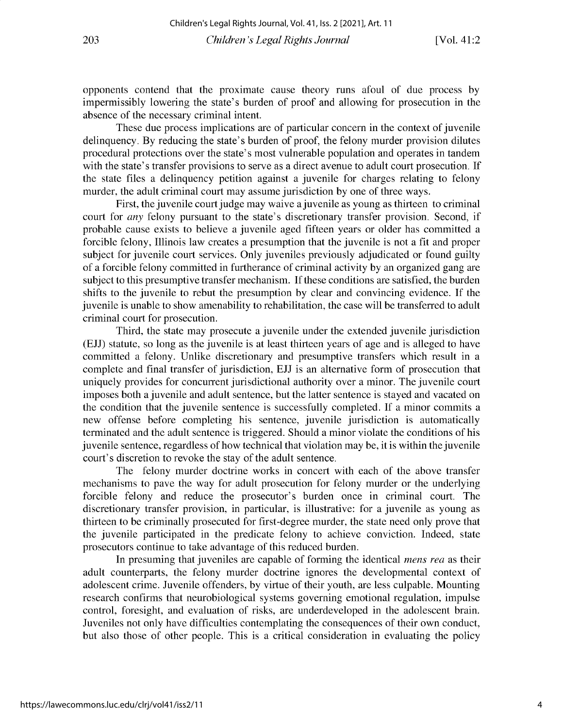opponents contend that the proximate cause theory runs afoul of due process by impermissibly lowering the state's burden of proof and allowing for prosecution in the absence of the necessary criminal intent.

These due process implications are of particular concern in the context of juvenile delinquency. By reducing the state's burden of proof, the felony murder provision dilutes procedural protections over the state's most vulnerable population and operates in tandem with the state's transfer provisions to serve as a direct avenue to adult court prosecution. If the state files a delinquency petition against a juvenile for charges relating to felony murder, the adult criminal court may assume jurisdiction by one of three ways.

First, the juvenile court judge may waive a juvenile as young as thirteen to criminal court for *any* felony pursuant to the state's discretionary transfer provision. Second, if probable cause exists to believe a juvenile aged fifteen years or older has committed a forcible felony, Illinois law creates a presumption that the juvenile is not a fit and proper subject for juvenile court services. Only juveniles previously adjudicated or found guilty of a forcible felony committed in furtherance of criminal activity by an organized gang are subject to this presumptive transfer mechanism. If these conditions are satisfied, the burden shifts to the juvenile to rebut the presumption by clear and convincing evidence. If the juvenile is unable to show amenability to rehabilitation, the case will be transferred to adult criminal court for prosecution.

Third, the state may prosecute a juvenile under the extended juvenile jurisdiction (EJJ) statute, so long as the juvenile is at least thirteen years of age and is alleged to have committed a felony. Unlike discretionary and presumptive transfers which result in a complete and final transfer of jurisdiction, EJJ is an alternative form of prosecution that uniquely provides for concurrent jurisdictional authority over a minor. The juvenile court imposes both a juvenile and adult sentence, but the latter sentence is stayed and vacated on the condition that the juvenile sentence is successfully completed. If a minor commits a new offense before completing his sentence, juvenile jurisdiction is automatically terminated and the adult sentence is triggered. Should a minor violate the conditions of his juvenile sentence, regardless of how technical that violation may be, it is within the juvenile court's discretion to revoke the stay of the adult sentence.

The felony murder doctrine works in concert with each of the above transfer mechanisms to pave the way for adult prosecution for felony murder or the underlying forcible felony and reduce the prosecutor's burden once in criminal court. The discretionary transfer provision, in particular, is illustrative: for a juvenile as young as thirteen to be criminally prosecuted for first-degree murder, the state need only prove that the juvenile participated in the predicate felony to achieve conviction. Indeed, state prosecutors continue to take advantage of this reduced burden.

In presuming that juveniles are capable of forming the identical *mens rea* as their adult counterparts, the felony murder doctrine ignores the developmental context of adolescent crime. Juvenile offenders, by virtue of their youth, are less culpable. Mounting research confirms that neurobiological systems governing emotional regulation, impulse control, foresight, and evaluation of risks, are underdeveloped in the adolescent brain. Juveniles not only have difficulties contemplating the consequences of their own conduct, but also those of other people. This is a critical consideration in evaluating the policy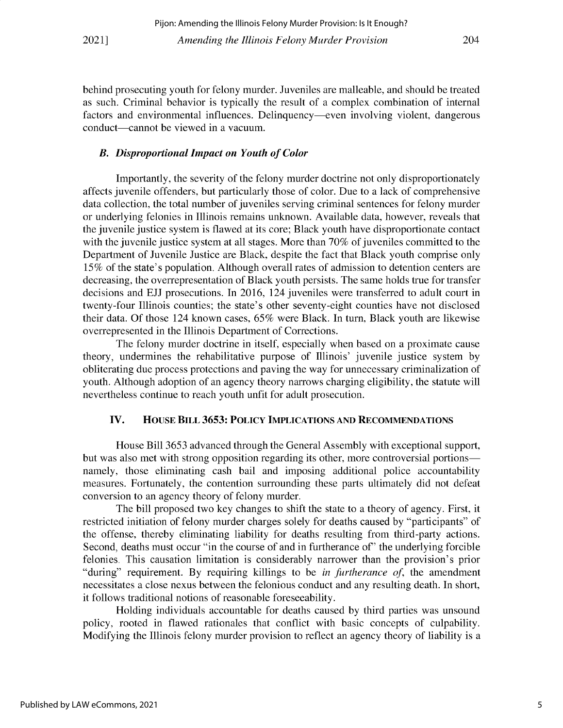behind prosecuting youth for felony murder. Juveniles are malleable, and should be treated as such. Criminal behavior is typically the result of a complex combination of internal factors and environmental influences. Delinquency-even involving violent, dangerous conduct—cannot be viewed in a vacuum.

#### *B. Disproportional Impact on Youth of Color*

Importantly, the severity of the felony murder doctrine not only disproportionately affects juvenile offenders, but particularly those of color. Due to a lack of comprehensive data collection, the total number of juveniles serving criminal sentences for felony murder or underlying felonies in Illinois remains unknown. Available data, however, reveals that the juvenile justice system is flawed at its core; Black youth have disproportionate contact with the juvenile justice system at all stages. More than 70% of juveniles committed to the Department of Juvenile Justice are Black, despite the fact that Black youth comprise only 15% of the state's population. Although overall rates of admission to detention centers are decreasing, the overrepresentation of Black youth persists. The same holds true for transfer decisions and EJJ prosecutions. In 2016, 124 juveniles were transferred to adult court in twenty-four Illinois counties; the state's other seventy-eight counties have not disclosed their data. Of those 124 known cases, *65%* were Black. In turn, Black youth are likewise overrepresented in the Illinois Department of Corrections.

The felony murder doctrine in itself, especially when based on a proximate cause theory, undermines the rehabilitative purpose of Illinois' juvenile justice system by obliterating due process protections and paving the way for unnecessary criminalization of youth. Although adoption of an agency theory narrows charging eligibility, the statute will nevertheless continue to reach youth unfit for adult prosecution.

#### **IV. HOUSE BILL** *3653:* **POLICY IMPLICATIONS AND RECOMMENDATIONS**

House Bill 3653 advanced through the General Assembly with exceptional support, but was also met with strong opposition regarding its other, more controversial portions namely, those eliminating cash bail and imposing additional police accountability measures. Fortunately, the contention surrounding these parts ultimately did not defeat conversion to an agency theory of felony murder.

The bill proposed two key changes to shift the state to a theory of agency. First, it restricted initiation of felony murder charges solely for deaths caused by "participants" of the offense, thereby eliminating liability for deaths resulting from third-party actions. Second, deaths must occur "in the course of and in furtherance *of'* the underlying forcible felonies. This causation limitation is considerably narrower than the provision's prior "during" requirement. By requiring killings to be *in furtherance of,* the amendment necessitates a close nexus between the felonious conduct and any resulting death. In short, it follows traditional notions of reasonable foreseeability.

Holding individuals accountable for deaths caused by third parties was unsound policy, rooted in flawed rationales that conflict with basic concepts of culpability. Modifying the Illinois felony murder provision to reflect an agency theory of liability is a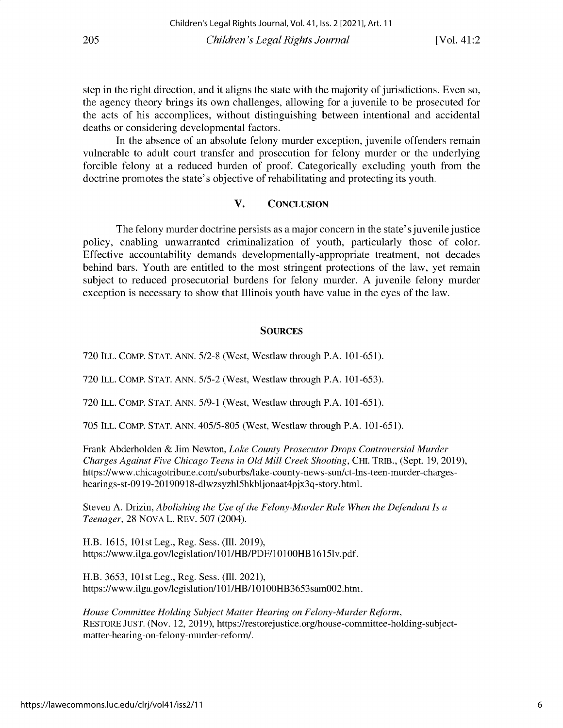step in the right direction, and it aligns the state with the majority of jurisdictions. Even so, the agency theory brings its own challenges, allowing for a juvenile to be prosecuted for the acts of his accomplices, without distinguishing between intentional and accidental deaths or considering developmental factors.

In the absence of an absolute felony murder exception, juvenile offenders remain vulnerable to adult court transfer and prosecution for felony murder or the underlying forcible felony at a reduced burden of proof. Categorically excluding youth from the doctrine promotes the state's objective of rehabilitating and protecting its youth.

## V. CONCLUSION

The felony murder doctrine persists as a major concern in the state's juvenile justice policy, enabling unwarranted criminalization of youth, particularly those of color. Effective accountability demands developmentally-appropriate treatment, not decades behind bars. Youth are entitled to the most stringent protections of the law, yet remain subject to reduced prosecutorial burdens for felony murder. A juvenile felony murder exception is necessary to show that Illinois youth have value in the eyes of the law.

#### **SOURCES**

720 **ILL. COMP. STAT.** ANN. 5/2-8 (West, Westlaw through P.A. 101-651).

720 **ILL. COMP. STAT. ANN.** 5/5-2 (West, Westlaw through P.A. 101-653).

720 **ILL. COMP. STAT. ANN. 5/9-1** (West, Westlaw through P.A. 101-651).

705 **ILL. COMP. STAT. ANN.** 405/5-805 (West, Westlaw through P.A. 101-651).

Frank Abderholden & Jim Newton, *Lake County Prosecutor Drops Controversial Murder Charges Against Five Chicago Teens in Old Mill Creek Shooting,* **CHI. TRIB.,** (Sept. 19, 2019), https://www. chicagotribune. com/suburbs/lake-county-news-sun/ct-lns-teen-murder-chargeshearings-st-0919-20190918-dlwzsyzhl5hkbljonaat4pjx3q-story.html.

Steven A. Drizin, *Abolishing the Use of the Felony-Murder Rule When the Defendant Is a Teenager,* 28 NOVA L. **REV.** 507 (2004).

H.B. 1615, 101st Leg., Reg. Sess. (Ill. 2019), https://www.ilga.gov/legislation/101/HB/PDF/101OOHB 16151v.pdf.

H.B. 3653, 101st Leg., Reg. Sess. (Ill. 2021), https://www.ilga.gov/legislation/101/HB/101OOHB3653samOO2.htm.

*House Committee Holding Subject Matter Hearing on Felony-Murder Reform,* **RESTORE JUST.** (Nov. 12, 2019), https://restorejustice.org/house-committee-holding-subjectmatter-hearing-on-felony-murder-reform/.